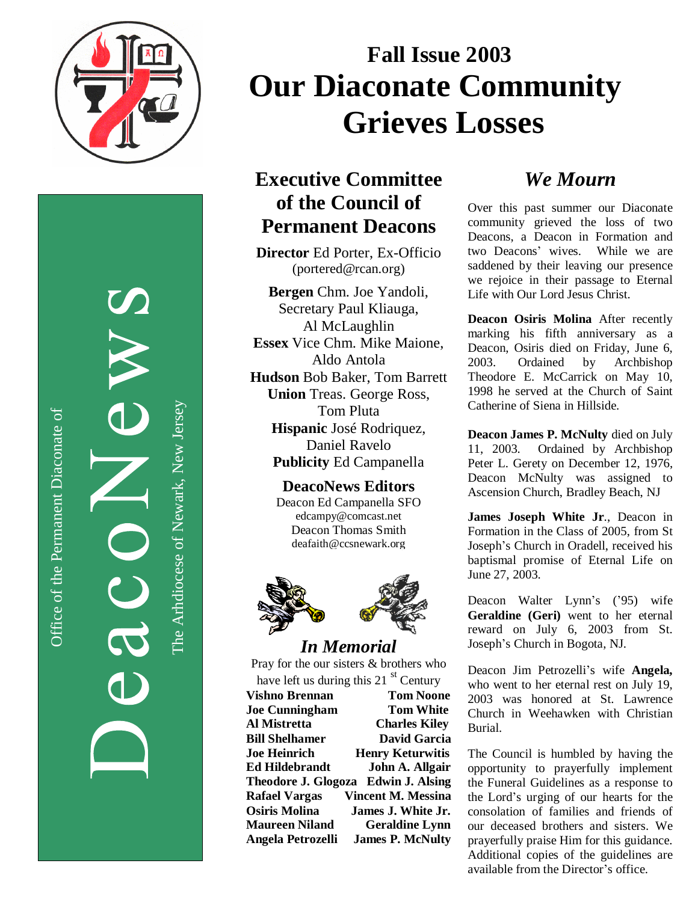

 $\bigcirc$ ffic eof th ePermanent Dia conate  $\widetilde{\sigma}$ 

The

Arhdio cese

of

Newark, N ew

Jerse y

# **Fall Issue 2003 Our Diaconate Community & Wives Grieves Losses**

# **Executive Committee of the Council of Permanent Deacons**

**Director** Ed Porter, Ex-Officio (portered@rcan.org)

**Bergen** Chm. Joe Yandoli, Secretary Paul Kliauga, Al McLaughlin **Essex** Vice Chm. Mike Maione, Aldo Antola **Hudson** Bob Baker, Tom Barrett **Union** Treas. George Ross, Tom Pluta **Hispanic** José Rodriquez, Daniel Ravelo **Publicity** Ed Campanella

#### **DeacoNews Editors** Deacon Ed Campanella SFO edcampy@comcast.net Deacon Thomas Smith deafaith@ccsnewark.org



### *In Memorial*

Pray for the our sisters & brothers who have left us during this 21 $\mathrm{^{st}}$  Century

**Vishno Brennan Tom Noone Joe Cunningham Tom White Al Mistretta Charles Kiley Bill Shelhamer David Garcia Joe Heinrich Henry Keturwitis Ed Hildebrandt John A. Allgair Theodore J. Glogoza Edwin J. Alsing Rafael Vargas Vincent M. Messina Osiris Molina James J. White Jr. Maureen Niland Geraldine Lynn Angela Petrozelli James P. McNulty**

# *We Mourn*

Over this past summer our Diaconate community grieved the loss of two Deacons, a Deacon in Formation and two Deacons' wives. While we are saddened by their leaving our presence we rejoice in their passage to Eternal Life with Our Lord Jesus Christ.

**Deacon Osiris Molina** After recently marking his fifth anniversary as a Deacon, Osiris died on Friday, June 6, 2003. Ordained by Archbishop Theodore E. McCarrick on May 10, 1998 he served at the Church of Saint Catherine of Siena in Hillside.

**Deacon James P. McNulty** died on July 11, 2003. Ordained by Archbishop Peter L. Gerety on December 12, 1976, Deacon McNulty was assigned to Ascension Church, Bradley Beach, NJ

**James Joseph White Jr**., Deacon in Formation in the Class of 2005, from St Joseph's Church in Oradell, received his baptismal promise of Eternal Life on June 27, 2003.

Deacon Walter Lynn's ('95) wife **Geraldine (Geri)** went to her eternal reward on July 6, 2003 from St. Joseph's Church in Bogota, NJ.

Deacon Jim Petrozelli's wife **Angela,** who went to her eternal rest on July 19. 2003 was honored at St. Lawrence Church in Weehawken with Christian Burial.

The Council is humbled by having the opportunity to prayerfully implement the Funeral Guidelines as a response to the Lord's urging of our hearts for the consolation of families and friends of our deceased brothers and sisters. We prayerfully praise Him for this guidance. Additional copies of the guidelines are available from the Director's office.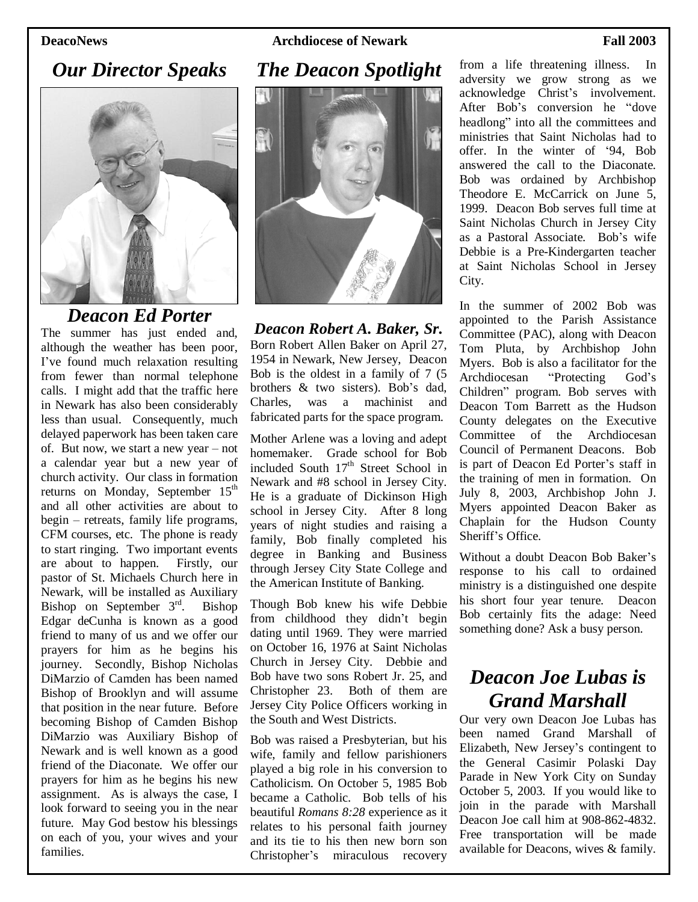**DeacoNews Archdiocese of Newark Fall 2003**

### *Our Director Speaks*



### *Deacon Ed Porter*

The summer has just ended and, although the weather has been poor, I've found much relaxation resulting from fewer than normal telephone calls. I might add that the traffic here in Newark has also been considerably less than usual. Consequently, much delayed paperwork has been taken care of. But now, we start a new year –not a calendar year but a new year of church activity. Our class in formation returns on Monday, September 15<sup>th</sup> and all other activities are about to  $begin-$  retreats, family life programs, CFM courses, etc. The phone is ready to start ringing. Two important events are about to happen. Firstly, our pastor of St. Michaels Church here in Newark, will be installed as Auxiliary Bishop on September 3<sup>rd</sup>. Bishop Edgar deCunha is known as a good friend to many of us and we offer our prayers for him as he begins his journey. Secondly, Bishop Nicholas DiMarzio of Camden has been named Bishop of Brooklyn and will assume that position in the near future. Before becoming Bishop of Camden Bishop DiMarzio was Auxiliary Bishop of Newark and is well known as a good friend of the Diaconate. We offer our prayers for him as he begins his new assignment. As is always the case, I look forward to seeing you in the near future. May God bestow his blessings on each of you, your wives and your families.



*Deacon Robert A. Baker, Sr.* Born Robert Allen Baker on April 27, 1954 in Newark, New Jersey, Deacon Bob is the oldest in a family of 7 (5 brothers & two sisters). Bob's dad, Charles, was a machinist and fabricated parts for the space program.

Mother Arlene was a loving and adept homemaker. Grade school for Bob included South 17<sup>th</sup> Street School in Newark and #8 school in Jersey City. He is a graduate of Dickinson High school in Jersey City. After 8 long years of night studies and raising a family, Bob finally completed his degree in Banking and Business through Jersey City State College and the American Institute of Banking.

Though Bob knew his wife Debbie from childhood they didn't begin dating until 1969. They were married on October 16, 1976 at Saint Nicholas Church in Jersey City. Debbie and Bob have two sons Robert Jr. 25, and Christopher 23. Both of them are Jersey City Police Officers working in the South and West Districts.

Bob was raised a Presbyterian, but his wife, family and fellow parishioners played a big role in his conversion to Catholicism. On October 5, 1985 Bob became a Catholic. Bob tells of his beautiful *Romans 8:28* experience as it relates to his personal faith journey and its tie to his then new born son Christopher's miraculous recovery from a life threatening illness. In adversity we grow strong as we acknowledge Christ's involvement. After Bob's conversion he "dove headlong" into all the committees and ministries that Saint Nicholas had to offer. In the winter of '94, Bob answered the call to the Diaconate. Bob was ordained by Archbishop Theodore E. McCarrick on June 5, 1999. Deacon Bob serves full time at Saint Nicholas Church in Jersey City as a Pastoral Associate. Bob's wife Debbie is a Pre-Kindergarten teacher at Saint Nicholas School in Jersey City.

In the summer of 2002 Bob was appointed to the Parish Assistance Committee (PAC), along with Deacon Tom Pluta, by Archbishop John Myers. Bob is also a facilitator for the Archdiocesan "Protecting God's Children" program. Bob serves with Deacon Tom Barrett as the Hudson County delegates on the Executive Committee of the Archdiocesan Council of Permanent Deacons. Bob is part of Deacon Ed Porter's staff in the training of men in formation. On July 8, 2003, Archbishop John J. Myers appointed Deacon Baker as Chaplain for the Hudson County Sheriff's Office.

Without a doubt Deacon Bob Baker's response to his call to ordained ministry is a distinguished one despite his short four year tenure. Deacon Bob certainly fits the adage: Need something done? Ask a busy person.

# *Deacon Joe Lubas is Grand Marshall*

Our very own Deacon Joe Lubas has been named Grand Marshall of Elizabeth, New Jersey's contingent to the General Casimir Polaski Day Parade in New York City on Sunday October 5, 2003. If you would like to join in the parade with Marshall Deacon Joe call him at 908-862-4832. Free transportation will be made available for Deacons, wives & family.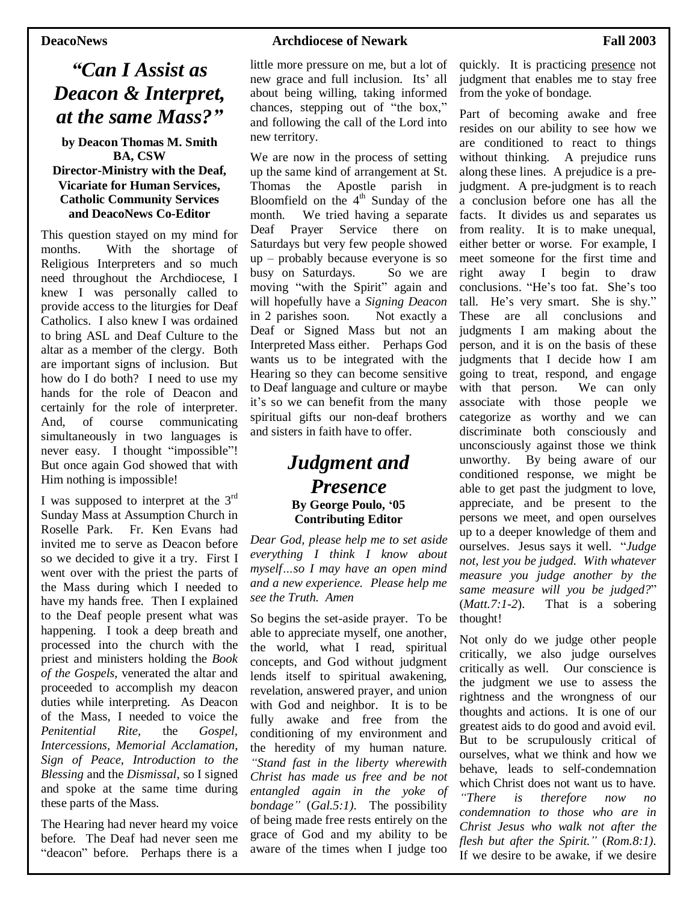# *"Can I Assist as Deacon & Interpret, at the same Mass?"*

**by Deacon Thomas M. Smith BA, CSW Director-Ministry with the Deaf, Vicariate for Human Services, Catholic Community Services and DeacoNews Co-Editor**

This question stayed on my mind for months. With the shortage of Religious Interpreters and so much need throughout the Archdiocese, I knew I was personally called to provide access to the liturgies for Deaf Catholics. I also knew I was ordained to bring ASL and Deaf Culture to the altar as a member of the clergy. Both are important signs of inclusion. But how do I do both? I need to use my hands for the role of Deacon and certainly for the role of interpreter. And, of course communicating simultaneously in two languages is never easy. I thought "impossible"! But once again God showed that with Him nothing is impossible!

I was supposed to interpret at the  $3<sup>rd</sup>$ Sunday Mass at Assumption Church in Roselle Park. Fr. Ken Evans had invited me to serve as Deacon before so we decided to give it a try. First I went over with the priest the parts of the Mass during which I needed to have my hands free. Then I explained to the Deaf people present what was happening. I took a deep breath and processed into the church with the priest and ministers holding the *Book of the Gospels*, venerated the altar and proceeded to accomplish my deacon duties while interpreting. As Deacon of the Mass, I needed to voice the *Penitential Rite,* the *Gospel, Intercessions, Memorial Acclamation*, *Sign of Peace*, *Introduction to the Blessing* and the *Dismissal*, so I signed and spoke at the same time during these parts of the Mass.

The Hearing had never heard my voice before. The Deaf had never seen me "deacon" before. Perhaps there is a little more pressure on me, but a lot of new grace and full inclusion. Its'all about being willing, taking informed chances, stepping out of "the box," and following the call of the Lord into new territory.

We are now in the process of setting up the same kind of arrangement at St. Thomas the Apostle parish in Bloomfield on the 4<sup>th</sup> Sunday of the month. We tried having a separate Deaf Prayer Service there on Saturdays but very few people showed  $up$  – probably because everyone is so busy on Saturdays. So we are moving "with the Spirit" again and will hopefully have a *Signing Deacon* in 2 parishes soon. Not exactly a Deaf or Signed Mass but not an Interpreted Mass either. Perhaps God wants us to be integrated with the Hearing so they can become sensitive to Deaf language and culture or maybe it's so we can benefit from the many spiritual gifts our non-deaf brothers and sisters in faith have to offer.

#### *Judgment and Presence* **By George Poulo, '05 Contributing Editor**

*Dear God, please help me to set aside everything I think I know about myself…so I may have an open mind and a new experience. Please help me see the Truth. Amen*

So begins the set-aside prayer. To be able to appreciate myself, one another, the world, what I read, spiritual concepts, and God without judgment lends itself to spiritual awakening, revelation, answered prayer, and union with God and neighbor. It is to be fully awake and free from the conditioning of my environment and the heredity of my human nature. *"Stand fast in the liberty wherewith Christ has made us free and be not entangled again in the yoke of bondage"*(*Gal.5:1)*. The possibility of being made free rests entirely on the grace of God and my ability to be aware of the times when I judge too

quickly. It is practicing presence not judgment that enables me to stay free from the yoke of bondage.

Part of becoming awake and free resides on our ability to see how we are conditioned to react to things without thinking. A prejudice runs along these lines. A prejudice is a prejudgment. A pre-judgment is to reach a conclusion before one has all the facts. It divides us and separates us from reality. It is to make unequal, either better or worse. For example, I meet someone for the first time and right away I begin to draw conclusions. "He's too fat. She's too tall. He's very smart. She is shy." These are all conclusions and judgments I am making about the person, and it is on the basis of these judgments that I decide how I am going to treat, respond, and engage with that person. We can only associate with those people we categorize as worthy and we can discriminate both consciously and unconsciously against those we think unworthy. By being aware of our conditioned response, we might be able to get past the judgment to love, appreciate, and be present to the persons we meet, and open ourselves up to a deeper knowledge of them and ourselves. Jesus says it well. "*Judge not, lest you be judged. With whatever measure you judge another by the same measure will you be judged?*" (*Matt.7:1-2*). That is a sobering thought!

Not only do we judge other people critically, we also judge ourselves critically as well. Our conscience is the judgment we use to assess the rightness and the wrongness of our thoughts and actions. It is one of our greatest aids to do good and avoid evil. But to be scrupulously critical of ourselves, what we think and how we behave, leads to self-condemnation which Christ does not want us to have. *"There is therefore now no condemnation to those who are in Christ Jesus who walk not after the flesh but after the Spirit."*(*Rom.8:1).* If we desire to be awake, if we desire